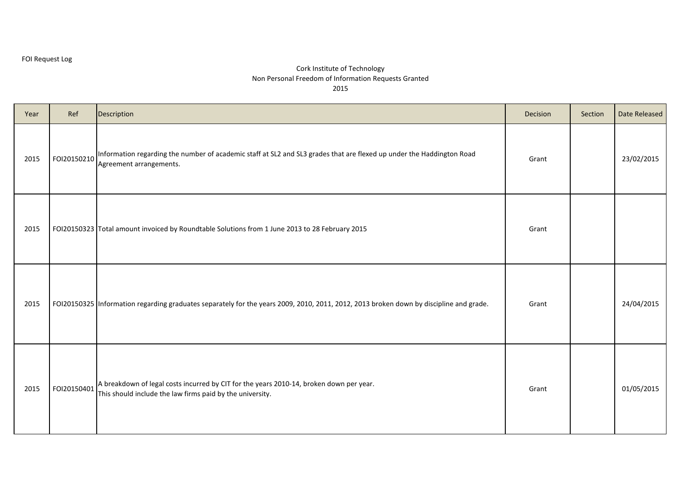| Year | Ref         | Description                                                                                                                                          | Decision | Section | Date Released |
|------|-------------|------------------------------------------------------------------------------------------------------------------------------------------------------|----------|---------|---------------|
| 2015 | FOI20150210 | Information regarding the number of academic staff at SL2 and SL3 grades that are flexed up under the Haddington Road<br>Agreement arrangements.     | Grant    |         | 23/02/2015    |
| 2015 |             | FOI20150323 Total amount invoiced by Roundtable Solutions from 1 June 2013 to 28 February 2015                                                       | Grant    |         |               |
| 2015 |             | FOI20150325 Information regarding graduates separately for the years 2009, 2010, 2011, 2012, 2013 broken down by discipline and grade.               | Grant    |         | 24/04/2015    |
| 2015 | FOI20150401 | A breakdown of legal costs incurred by CIT for the years 2010-14, broken down per year.<br>This should include the law firms paid by the university. | Grant    |         | 01/05/2015    |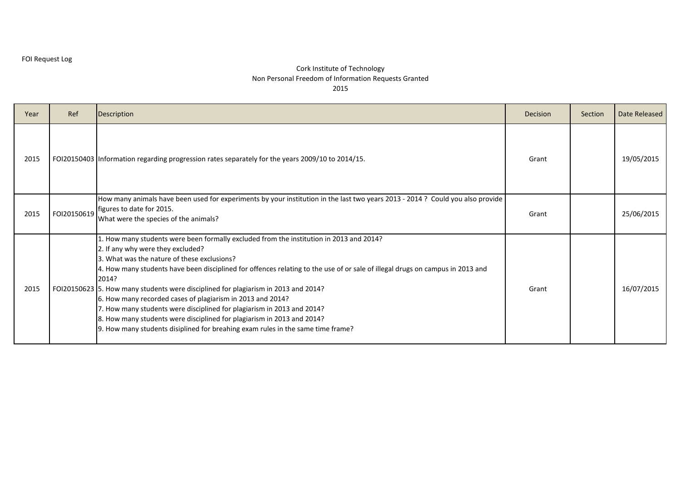| Year | Ref         | Description                                                                                                                                                                                                                                                                                                                                                                                                                                                                                                                                                                                                                                                                                                      | Decision | Section | Date Released |
|------|-------------|------------------------------------------------------------------------------------------------------------------------------------------------------------------------------------------------------------------------------------------------------------------------------------------------------------------------------------------------------------------------------------------------------------------------------------------------------------------------------------------------------------------------------------------------------------------------------------------------------------------------------------------------------------------------------------------------------------------|----------|---------|---------------|
| 2015 |             | FOI20150403 Information regarding progression rates separately for the years 2009/10 to 2014/15.                                                                                                                                                                                                                                                                                                                                                                                                                                                                                                                                                                                                                 | Grant    |         | 19/05/2015    |
| 2015 | FOI20150619 | How many animals have been used for experiments by your institution in the last two years 2013 - 2014 ? Could you also provide<br>figures to date for 2015.<br>What were the species of the animals?                                                                                                                                                                                                                                                                                                                                                                                                                                                                                                             | Grant    |         | 25/06/2015    |
| 2015 |             | 1. How many students were been formally excluded from the institution in 2013 and 2014?<br>2. If any why were they excluded?<br>3. What was the nature of these exclusions?<br>4. How many students have been disciplined for offences relating to the use of or sale of illegal drugs on campus in 2013 and<br>2014?<br>FOI20150623 5. How many students were disciplined for plagiarism in 2013 and 2014?<br>6. How many recorded cases of plagiarism in 2013 and 2014?<br>7. How many students were disciplined for plagiarism in 2013 and 2014?<br>8. How many students were disciplined for plagiarism in 2013 and 2014?<br>9. How many students disiplined for breahing exam rules in the same time frame? | Grant    |         | 16/07/2015    |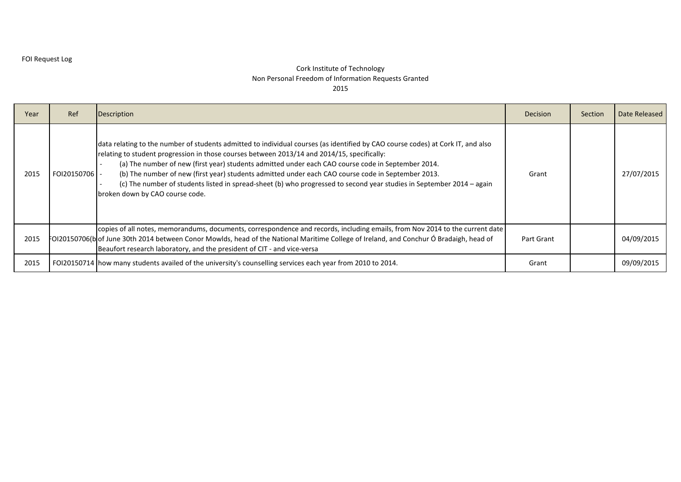| Year | Ref         | <b>Description</b>                                                                                                                                                                                                                                                                                                                                                                                                                                                                                                                                                                                     | <b>Decision</b> | Section | Date Released |
|------|-------------|--------------------------------------------------------------------------------------------------------------------------------------------------------------------------------------------------------------------------------------------------------------------------------------------------------------------------------------------------------------------------------------------------------------------------------------------------------------------------------------------------------------------------------------------------------------------------------------------------------|-----------------|---------|---------------|
| 2015 | FOI20150706 | data relating to the number of students admitted to individual courses (as identified by CAO course codes) at Cork IT, and also<br>relating to student progression in those courses between 2013/14 and 2014/15, specifically:<br>(a) The number of new (first year) students admitted under each CAO course code in September 2014.<br>(b) The number of new (first year) students admitted under each CAO course code in September 2013.<br>(c) The number of students listed in spread-sheet (b) who progressed to second year studies in September 2014 – again<br>broken down by CAO course code. | Grant           |         | 27/07/2015    |
| 2015 |             | copies of all notes, memorandums, documents, correspondence and records, including emails, from Nov 2014 to the current date<br>FOI20150706(bof June 30th 2014 between Conor Mowlds, head of the National Maritime College of Ireland, and Conchur Ó Bradaigh, head of<br>Beaufort research laboratory, and the president of CIT - and vice-versa                                                                                                                                                                                                                                                      | Part Grant      |         | 04/09/2015    |
| 2015 |             | FOI20150714   how many students availed of the university's counselling services each year from 2010 to 2014.                                                                                                                                                                                                                                                                                                                                                                                                                                                                                          | Grant           |         | 09/09/2015    |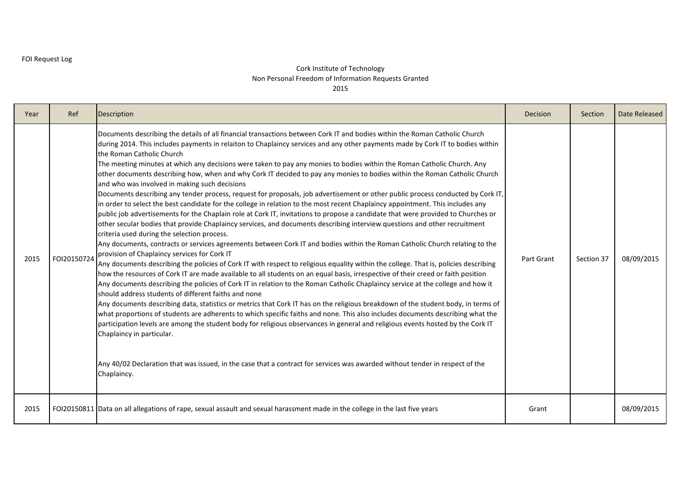| Year | Ref         | Description                                                                                                                                                                                                                                                                                                                                                                                                                                                                                                                                                                                                                                                                                                                                                                                                                                                                                                                                                                                                                                                                                                                                                                                                                                                                                                                                                                                                                                                                                                                                                                                                                                                                                                                                                                                                                                                                                                                                                                                                                                                                                                                                                                                                                                                                                                                                                                                                                         | Decision   | Section    | Date Released |
|------|-------------|-------------------------------------------------------------------------------------------------------------------------------------------------------------------------------------------------------------------------------------------------------------------------------------------------------------------------------------------------------------------------------------------------------------------------------------------------------------------------------------------------------------------------------------------------------------------------------------------------------------------------------------------------------------------------------------------------------------------------------------------------------------------------------------------------------------------------------------------------------------------------------------------------------------------------------------------------------------------------------------------------------------------------------------------------------------------------------------------------------------------------------------------------------------------------------------------------------------------------------------------------------------------------------------------------------------------------------------------------------------------------------------------------------------------------------------------------------------------------------------------------------------------------------------------------------------------------------------------------------------------------------------------------------------------------------------------------------------------------------------------------------------------------------------------------------------------------------------------------------------------------------------------------------------------------------------------------------------------------------------------------------------------------------------------------------------------------------------------------------------------------------------------------------------------------------------------------------------------------------------------------------------------------------------------------------------------------------------------------------------------------------------------------------------------------------------|------------|------------|---------------|
| 2015 | FOI20150724 | Documents describing the details of all financial transactions between Cork IT and bodies within the Roman Catholic Church<br>during 2014. This includes payments in relaiton to Chaplaincy services and any other payments made by Cork IT to bodies within<br>the Roman Catholic Church<br>The meeting minutes at which any decisions were taken to pay any monies to bodies within the Roman Catholic Church. Any<br>other documents describing how, when and why Cork IT decided to pay any monies to bodies within the Roman Catholic Church<br>and who was involved in making such decisions<br>Documents describing any tender process, request for proposals, job advertisement or other public process conducted by Cork IT,<br>in order to select the best candidate for the college in relation to the most recent Chaplaincy appointment. This includes any<br>public job advertisements for the Chaplain role at Cork IT, invitations to propose a candidate that were provided to Churches or<br>other secular bodies that provide Chaplaincy services, and documents describing interview questions and other recruitment<br>criteria used during the selection process.<br>Any documents, contracts or services agreements between Cork IT and bodies within the Roman Catholic Church relating to the<br>provision of Chaplaincy services for Cork IT<br>Any documents describing the policies of Cork IT with respect to religious equality within the college. That is, policies describing<br>how the resources of Cork IT are made available to all students on an equal basis, irrespective of their creed or faith position<br>Any documents describing the policies of Cork IT in relation to the Roman Catholic Chaplaincy service at the college and how it<br>should address students of different faiths and none<br>Any documents describing data, statistics or metrics that Cork IT has on the religious breakdown of the student body, in terms of<br>what proportions of students are adherents to which specific faiths and none. This also includes documents describing what the<br>participation levels are among the student body for religious observances in general and religious events hosted by the Cork IT<br>Chaplaincy in particular.<br>Any 40/02 Declaration that was issued, in the case that a contract for services was awarded without tender in respect of the<br>Chaplaincy. | Part Grant | Section 37 | 08/09/2015    |
| 2015 |             | FOI20150811 Data on all allegations of rape, sexual assault and sexual harassment made in the college in the last five years                                                                                                                                                                                                                                                                                                                                                                                                                                                                                                                                                                                                                                                                                                                                                                                                                                                                                                                                                                                                                                                                                                                                                                                                                                                                                                                                                                                                                                                                                                                                                                                                                                                                                                                                                                                                                                                                                                                                                                                                                                                                                                                                                                                                                                                                                                        | Grant      |            | 08/09/2015    |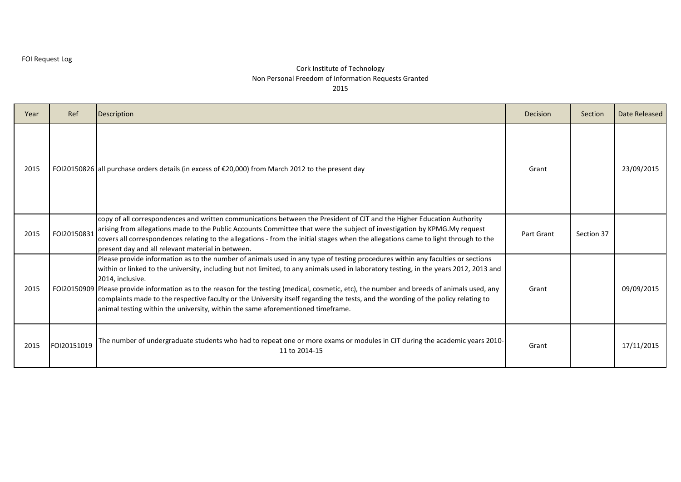| Year | Ref         | <b>Description</b>                                                                                                                                                                                                                                                                                                                                                                                                                                                                                                                                                                                                                                                  | Decision   | Section    | Date Released |
|------|-------------|---------------------------------------------------------------------------------------------------------------------------------------------------------------------------------------------------------------------------------------------------------------------------------------------------------------------------------------------------------------------------------------------------------------------------------------------------------------------------------------------------------------------------------------------------------------------------------------------------------------------------------------------------------------------|------------|------------|---------------|
| 2015 |             | FOI20150826 all purchase orders details (in excess of $\epsilon$ 20,000) from March 2012 to the present day                                                                                                                                                                                                                                                                                                                                                                                                                                                                                                                                                         | Grant      |            | 23/09/2015    |
| 2015 | FOI20150831 | copy of all correspondences and written communications between the President of CIT and the Higher Education Authority<br>arising from allegations made to the Public Accounts Committee that were the subject of investigation by KPMG.My request<br>covers all correspondences relating to the allegations - from the initial stages when the allegations came to light through to the<br>present day and all relevant material in between.                                                                                                                                                                                                                       | Part Grant | Section 37 |               |
| 2015 |             | Please provide information as to the number of animals used in any type of testing procedures within any faculties or sections<br>within or linked to the university, including but not limited, to any animals used in laboratory testing, in the years 2012, 2013 and<br>2014, inclusive.<br>FOI20150909 Please provide information as to the reason for the testing (medical, cosmetic, etc), the number and breeds of animals used, any<br>complaints made to the respective faculty or the University itself regarding the tests, and the wording of the policy relating to<br>animal testing within the university, within the same aforementioned timeframe. | Grant      |            | 09/09/2015    |
| 2015 | FOI20151019 | The number of undergraduate students who had to repeat one or more exams or modules in CIT during the academic years 2010-<br>11 to 2014-15                                                                                                                                                                                                                                                                                                                                                                                                                                                                                                                         | Grant      |            | 17/11/2015    |